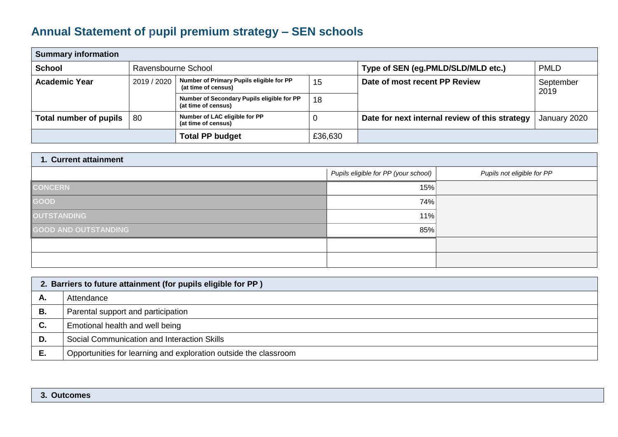## **Annual Statement of pupil premium strategy – SEN schools**

| <b>Summary information</b> |                     |                                                                   |         |                                                |                   |  |
|----------------------------|---------------------|-------------------------------------------------------------------|---------|------------------------------------------------|-------------------|--|
| <b>School</b>              | Ravensbourne School |                                                                   |         | Type of SEN (eg.PMLD/SLD/MLD etc.)             | <b>PMLD</b>       |  |
| <b>Academic Year</b>       | 2019 / 2020         | Number of Primary Pupils eligible for PP<br>(at time of census)   | 15      | Date of most recent PP Review                  | September<br>2019 |  |
|                            |                     | Number of Secondary Pupils eligible for PP<br>(at time of census) | 18      |                                                |                   |  |
| Total number of pupils     | 80                  | Number of LAC eligible for PP<br>(at time of census)              | 0       | Date for next internal review of this strategy | January 2020      |  |
|                            |                     | <b>Total PP budget</b>                                            | £36,630 |                                                |                   |  |

| 1. Current attainment       |                                      |                            |  |  |  |
|-----------------------------|--------------------------------------|----------------------------|--|--|--|
|                             | Pupils eligible for PP (your school) | Pupils not eligible for PP |  |  |  |
| <b>CONCERN</b>              | 15%                                  |                            |  |  |  |
| GOOD                        | 74%                                  |                            |  |  |  |
| OUTSTANDING                 | 11%                                  |                            |  |  |  |
| <b>GOOD AND OUTSTANDING</b> | 85%                                  |                            |  |  |  |
|                             |                                      |                            |  |  |  |
|                             |                                      |                            |  |  |  |

|    | 2. Barriers to future attainment (for pupils eligible for PP)    |  |  |  |
|----|------------------------------------------------------------------|--|--|--|
| А. | Attendance                                                       |  |  |  |
| В. | Parental support and participation                               |  |  |  |
| С. | Emotional health and well being                                  |  |  |  |
| D. | Social Communication and Interaction Skills                      |  |  |  |
|    | Opportunities for learning and exploration outside the classroom |  |  |  |

## **3. Outcomes**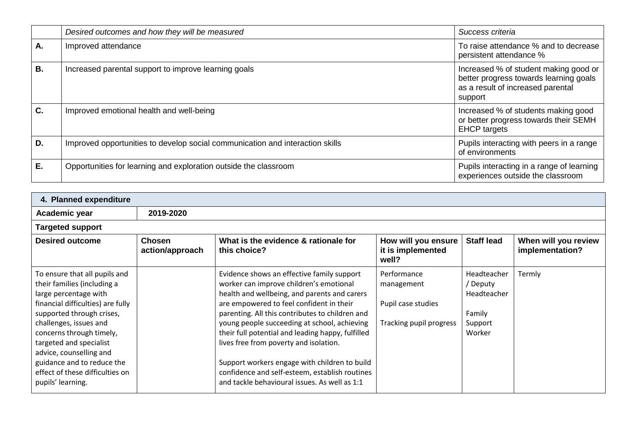|           | Desired outcomes and how they will be measured                                | Success criteria                                                                                                                |
|-----------|-------------------------------------------------------------------------------|---------------------------------------------------------------------------------------------------------------------------------|
| A.        | Improved attendance                                                           | To raise attendance % and to decrease<br>persistent attendance %                                                                |
| <b>B.</b> | Increased parental support to improve learning goals                          | Increased % of student making good or<br>better progress towards learning goals<br>as a result of increased parental<br>support |
| C.        | Improved emotional health and well-being                                      | Increased % of students making good<br>or better progress towards their SEMH<br><b>EHCP</b> targets                             |
| D.        | Improved opportunities to develop social communication and interaction skills | Pupils interacting with peers in a range<br>of environments                                                                     |
| Ε.        | Opportunities for learning and exploration outside the classroom              | Pupils interacting in a range of learning<br>experiences outside the classroom                                                  |

| Academic year                                                                                                                                                                                                                                                                                                                                             | 2019-2020                        |                                                                                                                                                                                                                                                                                                                                                                                                                                                                                                                                         |                                                                            |                                                                       |                                         |
|-----------------------------------------------------------------------------------------------------------------------------------------------------------------------------------------------------------------------------------------------------------------------------------------------------------------------------------------------------------|----------------------------------|-----------------------------------------------------------------------------------------------------------------------------------------------------------------------------------------------------------------------------------------------------------------------------------------------------------------------------------------------------------------------------------------------------------------------------------------------------------------------------------------------------------------------------------------|----------------------------------------------------------------------------|-----------------------------------------------------------------------|-----------------------------------------|
| <b>Targeted support</b>                                                                                                                                                                                                                                                                                                                                   |                                  |                                                                                                                                                                                                                                                                                                                                                                                                                                                                                                                                         |                                                                            |                                                                       |                                         |
| <b>Desired outcome</b>                                                                                                                                                                                                                                                                                                                                    | <b>Chosen</b><br>action/approach | What is the evidence & rationale for<br>this choice?                                                                                                                                                                                                                                                                                                                                                                                                                                                                                    | How will you ensure<br>it is implemented<br>well?                          | <b>Staff lead</b>                                                     | When will you review<br>implementation? |
| To ensure that all pupils and<br>their families (including a<br>large percentage with<br>financial difficulties) are fully<br>supported through crises,<br>challenges, issues and<br>concerns through timely,<br>targeted and specialist<br>advice, counselling and<br>guidance and to reduce the<br>effect of these difficulties on<br>pupils' learning. |                                  | Evidence shows an effective family support<br>worker can improve children's emotional<br>health and wellbeing, and parents and carers<br>are empowered to feel confident in their<br>parenting. All this contributes to children and<br>young people succeeding at school, achieving<br>their full potential and leading happy, fulfilled<br>lives free from poverty and isolation.<br>Support workers engage with children to build<br>confidence and self-esteem, establish routines<br>and tackle behavioural issues. As well as 1:1 | Performance<br>management<br>Pupil case studies<br>Tracking pupil progress | Headteacher<br>/ Deputy<br>Headteacher<br>Family<br>Support<br>Worker | Termly                                  |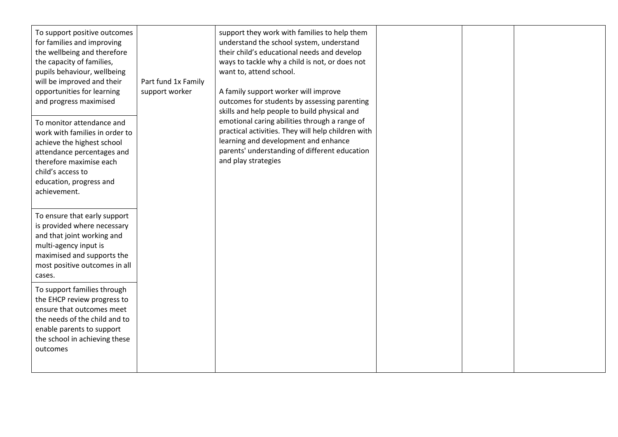| To support positive outcomes<br>for families and improving<br>the wellbeing and therefore<br>the capacity of families,<br>pupils behaviour, wellbeing<br>will be improved and their<br>opportunities for learning<br>and progress maximised<br>To monitor attendance and<br>work with families in order to<br>achieve the highest school<br>attendance percentages and<br>therefore maximise each<br>child's access to<br>education, progress and<br>achievement. | Part fund 1x Family<br>support worker | support they work with families to help them<br>understand the school system, understand<br>their child's educational needs and develop<br>ways to tackle why a child is not, or does not<br>want to, attend school.<br>A family support worker will improve<br>outcomes for students by assessing parenting<br>skills and help people to build physical and<br>emotional caring abilities through a range of<br>practical activities. They will help children with<br>learning and development and enhance<br>parents' understanding of different education<br>and play strategies |  |  |
|-------------------------------------------------------------------------------------------------------------------------------------------------------------------------------------------------------------------------------------------------------------------------------------------------------------------------------------------------------------------------------------------------------------------------------------------------------------------|---------------------------------------|-------------------------------------------------------------------------------------------------------------------------------------------------------------------------------------------------------------------------------------------------------------------------------------------------------------------------------------------------------------------------------------------------------------------------------------------------------------------------------------------------------------------------------------------------------------------------------------|--|--|
| To ensure that early support<br>is provided where necessary<br>and that joint working and<br>multi-agency input is<br>maximised and supports the<br>most positive outcomes in all<br>cases.                                                                                                                                                                                                                                                                       |                                       |                                                                                                                                                                                                                                                                                                                                                                                                                                                                                                                                                                                     |  |  |
| To support families through<br>the EHCP review progress to<br>ensure that outcomes meet<br>the needs of the child and to<br>enable parents to support<br>the school in achieving these<br>outcomes                                                                                                                                                                                                                                                                |                                       |                                                                                                                                                                                                                                                                                                                                                                                                                                                                                                                                                                                     |  |  |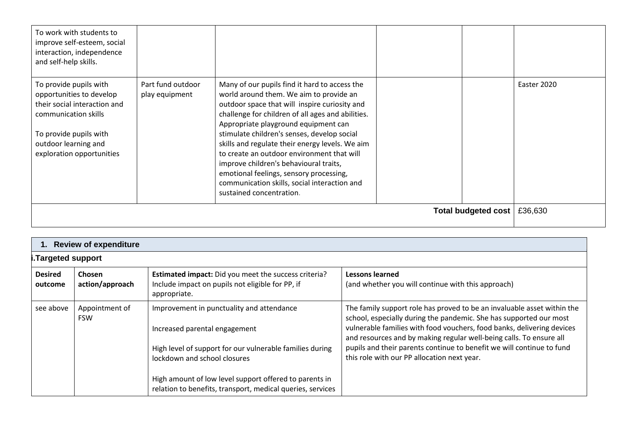| To work with students to<br>improve self-esteem, social<br>interaction, independence<br>and self-help skills.                                                                             |                                     |                                                                                                                                                                                                                                                                                                                                                                                                                                                                                                                                                         |                     |             |
|-------------------------------------------------------------------------------------------------------------------------------------------------------------------------------------------|-------------------------------------|---------------------------------------------------------------------------------------------------------------------------------------------------------------------------------------------------------------------------------------------------------------------------------------------------------------------------------------------------------------------------------------------------------------------------------------------------------------------------------------------------------------------------------------------------------|---------------------|-------------|
| To provide pupils with<br>opportunities to develop<br>their social interaction and<br>communication skills<br>To provide pupils with<br>outdoor learning and<br>exploration opportunities | Part fund outdoor<br>play equipment | Many of our pupils find it hard to access the<br>world around them. We aim to provide an<br>outdoor space that will inspire curiosity and<br>challenge for children of all ages and abilities.<br>Appropriate playground equipment can<br>stimulate children's senses, develop social<br>skills and regulate their energy levels. We aim<br>to create an outdoor environment that will<br>improve children's behavioural traits,<br>emotional feelings, sensory processing,<br>communication skills, social interaction and<br>sustained concentration. |                     | Easter 2020 |
|                                                                                                                                                                                           |                                     |                                                                                                                                                                                                                                                                                                                                                                                                                                                                                                                                                         | Total budgeted cost | £36,630     |

|                           | 1. Review of expenditure         |                                                                                                                                                                                                                                                                                                |                                                                                                                                                                                                                                                                                                                                                                                                                        |  |  |  |
|---------------------------|----------------------------------|------------------------------------------------------------------------------------------------------------------------------------------------------------------------------------------------------------------------------------------------------------------------------------------------|------------------------------------------------------------------------------------------------------------------------------------------------------------------------------------------------------------------------------------------------------------------------------------------------------------------------------------------------------------------------------------------------------------------------|--|--|--|
|                           | Targeted support.                |                                                                                                                                                                                                                                                                                                |                                                                                                                                                                                                                                                                                                                                                                                                                        |  |  |  |
| <b>Desired</b><br>outcome | <b>Chosen</b><br>action/approach | Estimated impact: Did you meet the success criteria?<br>Include impact on pupils not eligible for PP, if<br>appropriate.                                                                                                                                                                       | <b>Lessons learned</b><br>(and whether you will continue with this approach)                                                                                                                                                                                                                                                                                                                                           |  |  |  |
| see above                 | Appointment of<br><b>FSW</b>     | Improvement in punctuality and attendance<br>Increased parental engagement<br>High level of support for our vulnerable families during<br>lockdown and school closures<br>High amount of low level support offered to parents in<br>relation to benefits, transport, medical queries, services | The family support role has proved to be an invaluable asset within the<br>school, especially during the pandemic. She has supported our most<br>vulnerable families with food vouchers, food banks, delivering devices<br>and resources and by making regular well-being calls. To ensure all<br>pupils and their parents continue to benefit we will continue to fund<br>this role with our PP allocation next year. |  |  |  |